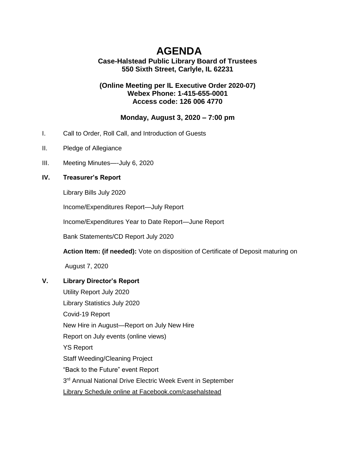# **AGENDA**

# **Case-Halstead Public Library Board of Trustees 550 Sixth Street, Carlyle, IL 62231**

## **(Online Meeting per IL [Executive Order 2020-07\)](https://ila.us12.list-manage.com/track/click?u=6e70654dccbd86e15c572ad55&id=9dbd36cb1d&e=3c5b70de22) Webex Phone: 1-415-655-0001 Access code: 126 006 4770**

# **Monday, August 3, 2020 – 7:00 pm**

- I. Call to Order, Roll Call, and Introduction of Guests
- II. Pledge of Allegiance
- III. Meeting Minutes—-July 6, 2020

## **IV. Treasurer's Report**

Library Bills July 2020

Income/Expenditures Report—July Report

Income/Expenditures Year to Date Report—June Report

Bank Statements/CD Report July 2020

**Action Item: (if needed):** Vote on disposition of Certificate of Deposit maturing on

August 7, 2020

# **V. Library Director's Report**

Utility Report July 2020 Library Statistics July 2020 Covid-19 Report New Hire in August—Report on July New Hire Report on July events (online views) YS Report Staff Weeding/Cleaning Project "Back to the Future" event Report 3<sup>rd</sup> Annual National Drive Electric Week Event in September Library Schedule online at Facebook.com/casehalstead